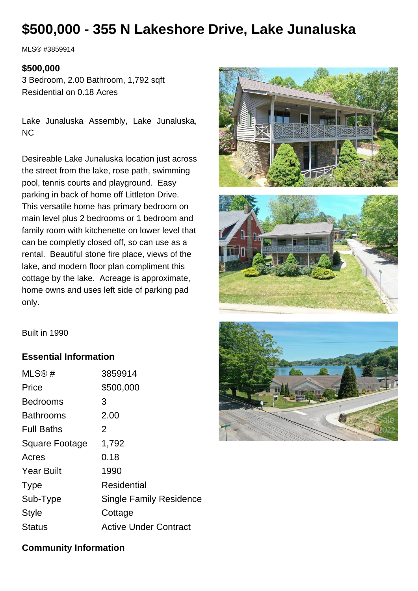# **\$500,000 - 355 N Lakeshore Drive, Lake Junaluska**

MLS® #3859914

#### **\$500,000**

3 Bedroom, 2.00 Bathroom, 1,792 sqft Residential on 0.18 Acres

Lake Junaluska Assembly, Lake Junaluska, NC

Desireable Lake Junaluska location just across the street from the lake, rose path, swimming pool, tennis courts and playground. Easy parking in back of home off Littleton Drive. This versatile home has primary bedroom on main level plus 2 bedrooms or 1 bedroom and family room with kitchenette on lower level that can be completly closed off, so can use as a rental. Beautiful stone fire place, views of the lake, and modern floor plan compliment this cottage by the lake. Acreage is approximate, home owns and uses left side of parking pad only.





Built in 1990

### **Essential Information**

| MLS®#                 | 3859914                        |
|-----------------------|--------------------------------|
| Price                 | \$500,000                      |
| <b>Bedrooms</b>       | З                              |
| <b>Bathrooms</b>      | 2.00                           |
| <b>Full Baths</b>     | 2                              |
| <b>Square Footage</b> | 1,792                          |
| Acres                 | 0.18                           |
| <b>Year Built</b>     | 1990                           |
| <b>Type</b>           | Residential                    |
| Sub-Type              | <b>Single Family Residence</b> |
| Style                 | Cottage                        |
| <b>Status</b>         | <b>Active Under Contract</b>   |
|                       |                                |

# **Community Information**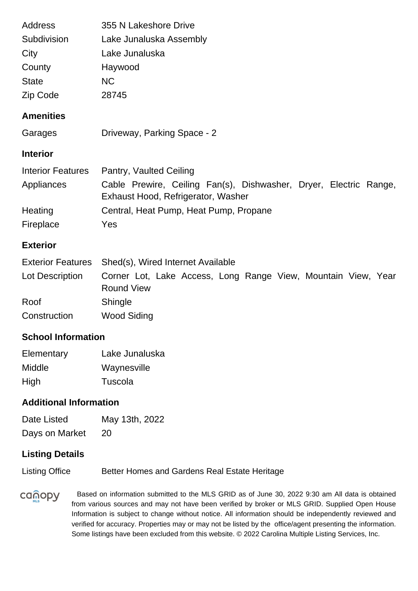| Address                  | 355 N Lakeshore Drive                                                                                   |
|--------------------------|---------------------------------------------------------------------------------------------------------|
| Subdivision              | Lake Junaluska Assembly                                                                                 |
| City                     | Lake Junaluska                                                                                          |
| County                   | Haywood                                                                                                 |
| <b>State</b>             | <b>NC</b>                                                                                               |
| Zip Code                 | 28745                                                                                                   |
| <b>Amenities</b>         |                                                                                                         |
| Garages                  | Driveway, Parking Space - 2                                                                             |
| <b>Interior</b>          |                                                                                                         |
| <b>Interior Features</b> | Pantry, Vaulted Ceiling                                                                                 |
| Appliances               | Cable Prewire, Ceiling Fan(s), Dishwasher, Dryer, Electric Range,<br>Exhaust Hood, Refrigerator, Washer |
| Heating                  | Central, Heat Pump, Heat Pump, Propane                                                                  |
| Fireplace                | Yes                                                                                                     |
| <b>Exterior</b>          |                                                                                                         |

|                 | Exterior Features Shed(s), Wired Internet Available                                |  |  |  |
|-----------------|------------------------------------------------------------------------------------|--|--|--|
| Lot Description | Corner Lot, Lake Access, Long Range View, Mountain View, Year<br><b>Round View</b> |  |  |  |
| Roof            | Shingle                                                                            |  |  |  |
| Construction    | Wood Siding                                                                        |  |  |  |

# **School Information**

| Elementary | Lake Junaluska |
|------------|----------------|
| Middle     | Waynesville    |
| High       | Tuscola        |

## **Additional Information**

| Date Listed    | May 13th, 2022 |
|----------------|----------------|
| Days on Market | 20             |

# **Listing Details**

Listing Office Better Homes and Gardens Real Estate Heritage

canopy Based on information submitted to the MLS GRID as of June 30, 2022 9:30 am All data is obtained from various sources and may not have been verified by broker or MLS GRID. Supplied Open House Information is subject to change without notice. All information should be independently reviewed and verified for accuracy. Properties may or may not be listed by the office/agent presenting the information. Some listings have been excluded from this website. © 2022 Carolina Multiple Listing Services, Inc.